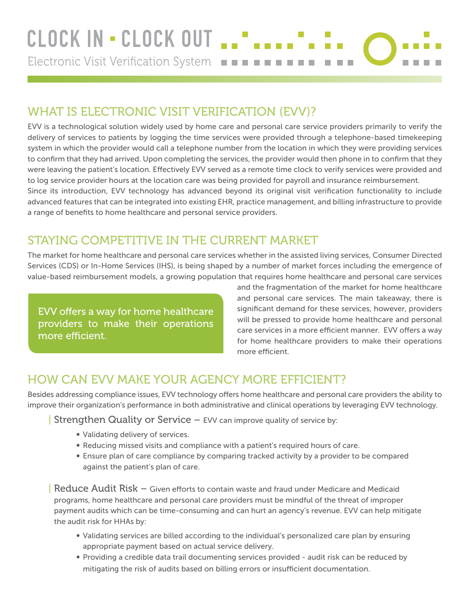## WHAT IS ELECTRONIC VISIT VERIFICATION (EVV)?

EVV is a technological solution widely used by home care and personal care service providers primarily to verify the delivery of services to patients by logging the time services were provided through a telephone-based timekeeping system in which the provider would call a telephone number from the location in which they were providing services to confirm that they had arrived. Upon completing the services, the provider would then phone in to confirm that they were leaving the patient's location. Effectively EVV served as a remote time clock to verify services were provided and to log service provider hours at the location care was being provided for payroll and insurance reimbursement. Since its introduction, EVV technology has advanced beyond its original visit verification functionality to include advanced features that can be integrated into existing EHR, practice management, and billing infrastructure to provide a range of benefits to home healthcare and personal service providers.

## STAYING COMPETITIVE IN THE CURRENT MARKET

The market for home healthcare and personal care services whether in the assisted living services, Consumer Directed Services (CDS) or In-Home Services (IHS), is being shaped by a number of market forces including the emergence of value-based reimbursement models, a growing population that requires home healthcare and personal care services

EVV offers a way for home healthcare providers to make their operations more efficient.

and the fragmentation of the market for home healthcare and personal care services. The main takeaway, there is significant demand for these services, however, providers will be pressed to provide home healthcare and personal care services in a more efficient manner. EVV offers a way for home healthcare providers to make their operations more efficient.

## HOW CAN EVV MAKE YOUR AGENCY MORE EFFICIENT?

Besides addressing compliance issues, EVV technology offers home healthcare and personal care providers the ability to improve their organization's performance in both administrative and clinical operations by leveraging EVV technology.

**Strengthen Quality or Service – EVV can improve quality of service by:** 

- Validating delivery of services.
- Reducing missed visits and compliance with a patient's required hours of care.
- Ensure plan of care compliance by comparing tracked activity by a provider to be compared against the patient's plan of care.

Reduce Audit Risk – Given efforts to contain waste and fraud under Medicare and Medicaid programs, home healthcare and personal care providers must be mindful of the threat of improper payment audits which can be time-consuming and can hurt an agency's revenue. EVV can help mitigate the audit risk for HHAs by:

- Validating services are billed according to the individual's personalized care plan by ensuring appropriate payment based on actual service delivery.
- Providing a credible data trail documenting services provided audit risk can be reduced by mitigating the risk of audits based on billing errors or insufficient documentation.